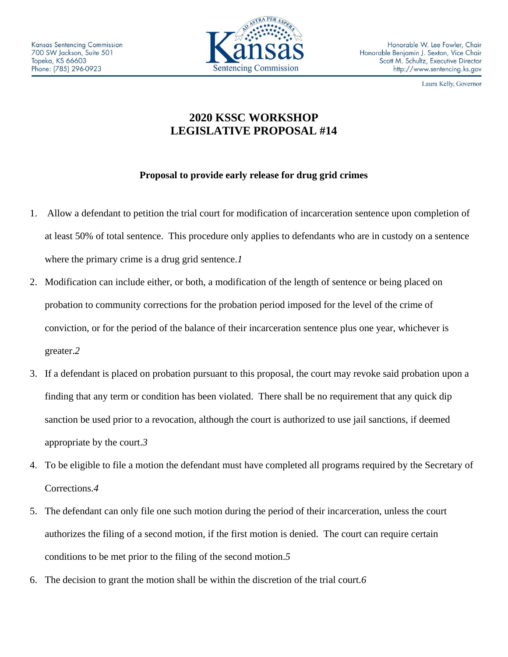

Laura Kelly, Governor

## **2020 KSSC WORKSHOP LEGISLATIVE PROPOSAL #14**

## **Proposal to provide early release for drug grid crimes**

- 1. Allow a defendant to petition the trial court for modification of incarceration sentence upon completion of at least 50% of total sentence. This procedure only applies to defendants who are in custody on a sentence where the primary crime is a drug grid sentence.*1*
- 2. Modification can include either, or both, a modification of the length of sentence or being placed on probation to community corrections for the probation period imposed for the level of the crime of conviction, or for the period of the balance of their incarceration sentence plus one year, whichever is greater.*2*
- 3. If a defendant is placed on probation pursuant to this proposal, the court may revoke said probation upon a finding that any term or condition has been violated. There shall be no requirement that any quick dip sanction be used prior to a revocation, although the court is authorized to use jail sanctions, if deemed appropriate by the court.*3*
- 4. To be eligible to file a motion the defendant must have completed all programs required by the Secretary of Corrections.*4*
- 5. The defendant can only file one such motion during the period of their incarceration, unless the court authorizes the filing of a second motion, if the first motion is denied. The court can require certain conditions to be met prior to the filing of the second motion.*5*
- 6. The decision to grant the motion shall be within the discretion of the trial court.*6*